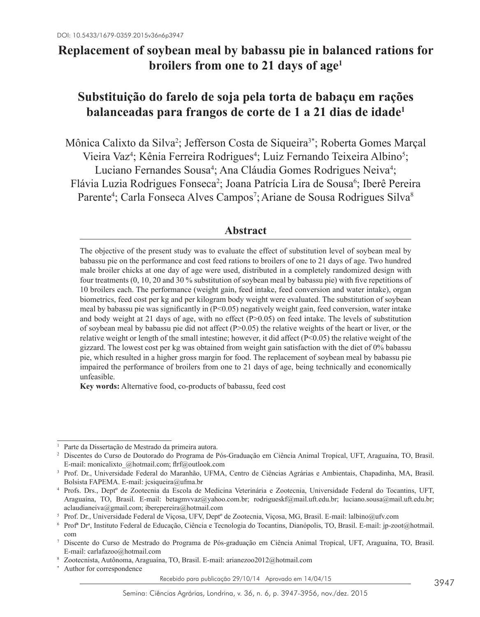# **Replacement of soybean meal by babassu pie in balanced rations for broilers from one to 21 days of age1**

# **Substituição do farelo de soja pela torta de babaçu em rações balanceadas para frangos de corte de 1 a 21 dias de idade1**

Mônica Calixto da Silva<sup>2</sup>; Jefferson Costa de Siqueira<sup>3\*</sup>; Roberta Gomes Marçal Vieira Vaz<sup>4</sup>; Kênia Ferreira Rodrigues<sup>4</sup>; Luiz Fernando Teixeira Albino<sup>5</sup>; Luciano Fernandes Sousa<sup>4</sup>; Ana Cláudia Gomes Rodrigues Neiva<sup>4</sup>; Flávia Luzia Rodrigues Fonseca<sup>2</sup>; Joana Patrícia Lira de Sousa<sup>6</sup>; Iberê Pereira Parente<sup>4</sup>; Carla Fonseca Alves Campos<sup>7</sup>; Ariane de Sousa Rodrigues Silva<sup>8</sup>

# **Abstract**

The objective of the present study was to evaluate the effect of substitution level of soybean meal by babassu pie on the performance and cost feed rations to broilers of one to 21 days of age. Two hundred male broiler chicks at one day of age were used, distributed in a completely randomized design with four treatments (0, 10, 20 and 30 % substitution of soybean meal by babassu pie) with five repetitions of 10 broilers each. The performance (weight gain, feed intake, feed conversion and water intake), organ biometrics, feed cost per kg and per kilogram body weight were evaluated. The substitution of soybean meal by babassu pie was significantly in (P<0.05) negatively weight gain, feed conversion, water intake and body weight at 21 days of age, with no effect  $(P>0.05)$  on feed intake. The levels of substitution of soybean meal by babassu pie did not affect ( $P>0.05$ ) the relative weights of the heart or liver, or the relative weight or length of the small intestine; however, it did affect  $(P<0.05)$  the relative weight of the gizzard. The lowest cost per kg was obtained from weight gain satisfaction with the diet of 0% babassu pie, which resulted in a higher gross margin for food. The replacement of soybean meal by babassu pie impaired the performance of broilers from one to 21 days of age, being technically and economically unfeasible.

**Key words:** Alternative food, co-products of babassu, feed cost

<sup>1</sup> Parte da Dissertação de Mestrado da primeira autora.

<sup>2</sup> Discentes do Curso de Doutorado do Programa de Pós-Graduação em Ciência Animal Tropical, UFT, Araguaína, TO, Brasil. E-mail: monicalixto\_@hotmail.com; flrf@outlook.com

<sup>3</sup> Prof. Dr., Universidade Federal do Maranhão, UFMA, Centro de Ciências Agrárias e Ambientais, Chapadinha, MA, Brasil. Bolsista FAPEMA. E-mail: jcsiqueira@ufma.br

<sup>4</sup> Profs. Drs., Deptº de Zootecnia da Escola de Medicina Veterinária e Zootecnia, Universidade Federal do Tocantins, UFT, Araguaína, TO, Brasil. E-mail: betagmvvaz@yahoo.com.br; rodrigueskf@mail.uft.edu.br; luciano.sousa@mail.uft.edu.br; aclaudianeiva@gmail.com; iberepereira@hotmail.com

<sup>5</sup> Prof. Dr., Universidade Federal de Viçosa, UFV, Deptº de Zootecnia, Viçosa, MG, Brasil. E-mail: lalbino@ufv.com

<sup>6</sup> Profª Dra , Instituto Federal de Educação, Ciência e Tecnologia do Tocantins, Dianópolis, TO, Brasil. E-mail: jp-zoot@hotmail. com

<sup>7</sup> Discente do Curso de Mestrado do Programa de Pós-graduação em Ciência Animal Tropical, UFT, Araguaína, TO, Brasil. E-mail: carlafazoo@hotmail.com

<sup>8</sup> Zootecnista, Autônoma, Araguaína, TO, Brasil. E-mail: arianezoo2012@hotmail.com

Author for correspondence

Recebido para publicação 29/10/14 Aprovado em 14/04/15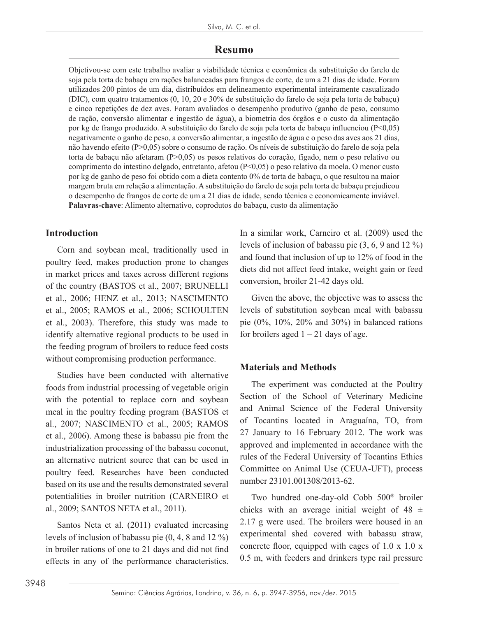### **Resumo**

Objetivou-se com este trabalho avaliar a viabilidade técnica e econômica da substituição do farelo de soja pela torta de babaçu em rações balanceadas para frangos de corte, de um a 21 dias de idade. Foram utilizados 200 pintos de um dia, distribuídos em delineamento experimental inteiramente casualizado (DIC), com quatro tratamentos (0, 10, 20 e 30% de substituição do farelo de soja pela torta de babaçu) e cinco repetições de dez aves. Foram avaliados o desempenho produtivo (ganho de peso, consumo de ração, conversão alimentar e ingestão de água), a biometria dos órgãos e o custo da alimentação por kg de frango produzido. A substituição do farelo de soja pela torta de babaçu influenciou (P<0,05) negativamente o ganho de peso, a conversão alimentar, a ingestão de água e o peso das aves aos 21 dias, não havendo efeito (P>0,05) sobre o consumo de ração. Os níveis de substituição do farelo de soja pela torta de babaçu não afetaram (P>0,05) os pesos relativos do coração, fígado, nem o peso relativo ou comprimento do intestino delgado, entretanto, afetou (P<0,05) o peso relativo da moela. O menor custo por kg de ganho de peso foi obtido com a dieta contento 0% de torta de babaçu, o que resultou na maior margem bruta em relação a alimentação. A substituição do farelo de soja pela torta de babaçu prejudicou o desempenho de frangos de corte de um a 21 dias de idade, sendo técnica e economicamente inviável. **Palavras-chave**: Alimento alternativo, coprodutos do babaçu, custo da alimentação

## **Introduction**

Corn and soybean meal, traditionally used in poultry feed, makes production prone to changes in market prices and taxes across different regions of the country (BASTOS et al., 2007; BRUNELLI et al., 2006; HENZ et al., 2013; NASCIMENTO et al., 2005; RAMOS et al., 2006; SCHOULTEN et al., 2003). Therefore, this study was made to identify alternative regional products to be used in the feeding program of broilers to reduce feed costs without compromising production performance.

Studies have been conducted with alternative foods from industrial processing of vegetable origin with the potential to replace corn and soybean meal in the poultry feeding program (BASTOS et al., 2007; NASCIMENTO et al., 2005; RAMOS et al., 2006). Among these is babassu pie from the industrialization processing of the babassu coconut, an alternative nutrient source that can be used in poultry feed. Researches have been conducted based on its use and the results demonstrated several potentialities in broiler nutrition (CARNEIRO et al., 2009; SANTOS NETA et al., 2011).

Santos Neta et al. (2011) evaluated increasing levels of inclusion of babassu pie (0, 4, 8 and 12 %) in broiler rations of one to 21 days and did not find effects in any of the performance characteristics. In a similar work, Carneiro et al. (2009) used the levels of inclusion of babassu pie (3, 6, 9 and 12 %) and found that inclusion of up to 12% of food in the diets did not affect feed intake, weight gain or feed conversion, broiler 21-42 days old.

Given the above, the objective was to assess the levels of substitution soybean meal with babassu pie (0%, 10%, 20% and 30%) in balanced rations for broilers aged  $1 - 21$  days of age.

## **Materials and Methods**

The experiment was conducted at the Poultry Section of the School of Veterinary Medicine and Animal Science of the Federal University of Tocantins located in Araguaína, TO, from 27 January to 16 February 2012. The work was approved and implemented in accordance with the rules of the Federal University of Tocantins Ethics Committee on Animal Use (CEUA-UFT), process number 23101.001308/2013-62.

Two hundred one-day-old Cobb 500® broiler chicks with an average initial weight of  $48 \pm$ 2.17 g were used. The broilers were housed in an experimental shed covered with babassu straw, concrete floor, equipped with cages of 1.0 x 1.0 x 0.5 m, with feeders and drinkers type rail pressure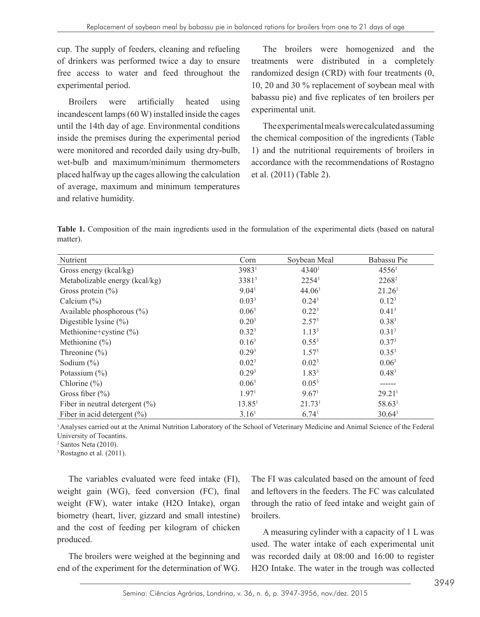cup. The supply of feeders, cleaning and refueling of drinkers was performed twice a day to ensure free access to water and feed throughout the experimental period.

Broilers were artificially heated using incandescent lamps (60 W) installed inside the cages until the 14th day of age. Environmental conditions inside the premises during the experimental period were monitored and recorded daily using dry-bulb, wet-bulb and maximum/minimum thermometers placed halfway up the cages allowing the calculation of average, maximum and minimum temperatures and relative humidity.

The broilers were homogenized and the treatments were distributed in a completely randomized design (CRD) with four treatments (0, 10, 20 and 30 % replacement of soybean meal with babassu pie) and five replicates of ten broilers per experimental unit.

The experimental meals were calculated assuming the chemical composition of the ingredients (Table 1) and the nutritional requirements of broilers in accordance with the recommendations of Rostagno et al. (2011) (Table 2).

**Table 1.** Composition of the main ingredients used in the formulation of the experimental diets (based on natural matter).

| Nutrient                           | Corn               | Soybean Meal       | Babassu Pie        |
|------------------------------------|--------------------|--------------------|--------------------|
| Gross energy (kcal/kg)             | 39831              | 4340 <sup>1</sup>  | 4556 <sup>1</sup>  |
| Metabolizable energy (kcal/kg)     | 33813              | 22543              | 2268 <sup>2</sup>  |
| Gross protein $(\% )$              | 9.04 <sup>1</sup>  | 44.061             | 21.26 <sup>1</sup> |
| Calcium $(\% )$                    | 0.03 <sup>3</sup>  | $0.24^3$           | $0.12^{3}$         |
| Available phosphorous $(\% )$      | 0.06 <sup>3</sup>  | $0.22^{3}$         | 0.41 <sup>3</sup>  |
| Digestible lysine $(\% )$          | $0.20^{3}$         | 2.57 <sup>3</sup>  | $0.38^{3}$         |
| Methionine+cystine $(\% )$         | $0.32^{3}$         | 1.13 <sup>3</sup>  | 0.31 <sup>3</sup>  |
| Methionine $(\% )$                 | 0.16 <sup>3</sup>  | $0.55^{3}$         | $0.37^{3}$         |
| Threonine $(\% )$                  | 0.29 <sup>3</sup>  | 1.57 <sup>3</sup>  | $0.35^{3}$         |
| Sodium $(\% )$                     | 0.02 <sup>3</sup>  | 0.02 <sup>3</sup>  | 0.06 <sup>3</sup>  |
| Potassium $(\% )$                  | 0.29 <sup>3</sup>  | 1.83 <sup>3</sup>  | 0.48 <sup>3</sup>  |
| Chlorine $(\% )$                   | 0.06 <sup>3</sup>  | $0.05^3$           |                    |
| Gross fiber $(\% )$                | 1.97 <sup>1</sup>  | 9.67 <sup>1</sup>  | 29.21 <sup>1</sup> |
| Fiber in neutral detergent $(\% )$ | 13.85 <sup>1</sup> | 21.73 <sup>1</sup> | 58.631             |
| Fiber in acid detergent $(\% )$    | 3.16 <sup>1</sup>  | 6.74 <sup>1</sup>  | 30.64 <sup>1</sup> |

1 Analyses carried out at the Animal Nutrition Laboratory of the School of Veterinary Medicine and Animal Science of the Federal University of Tocantins.

 $2$  Santos Neta (2010).

<sup>3</sup> Rostagno et al. (2011).

The variables evaluated were feed intake (FI), weight gain (WG), feed conversion (FC), final weight (FW), water intake (H2O Intake), organ biometry (heart, liver, gizzard and small intestine) and the cost of feeding per kilogram of chicken produced.

The broilers were weighed at the beginning and end of the experiment for the determination of WG. The FI was calculated based on the amount of feed and leftovers in the feeders. The FC was calculated through the ratio of feed intake and weight gain of broilers.

A measuring cylinder with a capacity of 1 L was used. The water intake of each experimental unit was recorded daily at 08:00 and 16:00 to register H2O Intake. The water in the trough was collected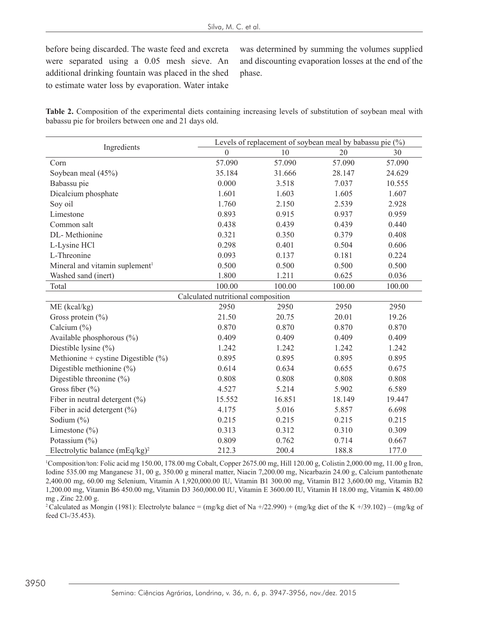before being discarded. The waste feed and excreta were separated using a 0.05 mesh sieve. An additional drinking fountain was placed in the shed to estimate water loss by evaporation. Water intake

was determined by summing the volumes supplied and discounting evaporation losses at the end of the phase.

**Table 2.** Composition of the experimental diets containing increasing levels of substitution of soybean meal with babassu pie for broilers between one and 21 days old.

|                                            | Levels of replacement of soybean meal by babassu pie (%) |        |        |        |  |  |  |
|--------------------------------------------|----------------------------------------------------------|--------|--------|--------|--|--|--|
| Ingredients                                | $\boldsymbol{0}$                                         | 10     | 20     | 30     |  |  |  |
| Corn                                       | 57.090                                                   | 57.090 | 57.090 | 57.090 |  |  |  |
| Soybean meal (45%)                         | 35.184                                                   | 31.666 | 28.147 | 24.629 |  |  |  |
| Babassu pie                                | 0.000                                                    | 3.518  | 7.037  | 10.555 |  |  |  |
| Dicalcium phosphate                        | 1.601                                                    | 1.603  | 1.605  | 1.607  |  |  |  |
| Soy oil                                    | 1.760                                                    | 2.150  | 2.539  | 2.928  |  |  |  |
| Limestone                                  | 0.893                                                    | 0.915  | 0.937  | 0.959  |  |  |  |
| Common salt                                | 0.438                                                    | 0.439  | 0.439  | 0.440  |  |  |  |
| DL-Methionine                              | 0.321                                                    | 0.350  | 0.379  | 0.408  |  |  |  |
| L-Lysine HCl                               | 0.298                                                    | 0.401  | 0.504  | 0.606  |  |  |  |
| L-Threonine                                | 0.093                                                    | 0.137  | 0.181  | 0.224  |  |  |  |
| Mineral and vitamin suplement <sup>1</sup> | 0.500                                                    | 0.500  | 0.500  | 0.500  |  |  |  |
| Washed sand (inert)                        | 1.800                                                    | 1.211  | 0.625  | 0.036  |  |  |  |
| Total                                      | 100.00                                                   | 100.00 | 100.00 | 100.00 |  |  |  |
| Calculated nutritional composition         |                                                          |        |        |        |  |  |  |
| ME (kcal/kg)                               | 2950                                                     | 2950   | 2950   | 2950   |  |  |  |
| Gross protein $(\% )$                      | 21.50                                                    | 20.75  | 20.01  | 19.26  |  |  |  |
| Calcium $(\% )$                            | 0.870                                                    | 0.870  | 0.870  | 0.870  |  |  |  |
| Available phosphorous (%)                  | 0.409                                                    | 0.409  | 0.409  | 0.409  |  |  |  |
| Diestible lysine $(\%)$                    | 1.242                                                    | 1.242  | 1.242  | 1.242  |  |  |  |
| Methionine + cystine Digestible $(\% )$    | 0.895                                                    | 0.895  | 0.895  | 0.895  |  |  |  |
| Digestible methionine $(\% )$              | 0.614                                                    | 0.634  | 0.655  | 0.675  |  |  |  |
| Digestible threonine $(\% )$               | 0.808                                                    | 0.808  | 0.808  | 0.808  |  |  |  |
| Gross fiber $(\% )$                        | 4.527                                                    | 5.214  | 5.902  | 6.589  |  |  |  |
| Fiber in neutral detergent $(\% )$         | 15.552                                                   | 16.851 | 18.149 | 19.447 |  |  |  |
| Fiber in acid detergent $(\% )$            | 4.175                                                    | 5.016  | 5.857  | 6.698  |  |  |  |
| Sodium (%)                                 | 0.215                                                    | 0.215  | 0.215  | 0.215  |  |  |  |
| Limestone $(\% )$                          | 0.313                                                    | 0.312  | 0.310  | 0.309  |  |  |  |
| Potassium (%)                              | 0.809                                                    | 0.762  | 0.714  | 0.667  |  |  |  |
| Electrolytic balance (mEq/kg) <sup>2</sup> | 212.3                                                    | 200.4  | 188.8  | 177.0  |  |  |  |

1 Composition/ton: Folic acid mg 150.00, 178.00 mg Cobalt, Copper 2675.00 mg, Hill 120.00 g, Colistin 2,000.00 mg, 11.00 g Iron, Iodine 535.00 mg Manganese 31, 00 g, 350.00 g mineral matter, Niacin 7,200.00 mg, Nicarbazin 24.00 g, Calcium pantothenate 2,400.00 mg, 60.00 mg Selenium, Vitamin A 1,920,000.00 IU, Vitamin B1 300.00 mg, Vitamin B12 3,600.00 mg, Vitamin B2 1,200.00 mg, Vitamin B6 450.00 mg, Vitamin D3 360,000.00 IU, Vitamin E 3600.00 IU, Vitamin H 18.00 mg, Vitamin K 480.00 mg , Zinc 22.00 g.

<sup>2</sup> Calculated as Mongin (1981): Electrolyte balance = (mg/kg diet of Na +/22.990) + (mg/kg diet of the K +/39.102) – (mg/kg of feed Cl-/35.453).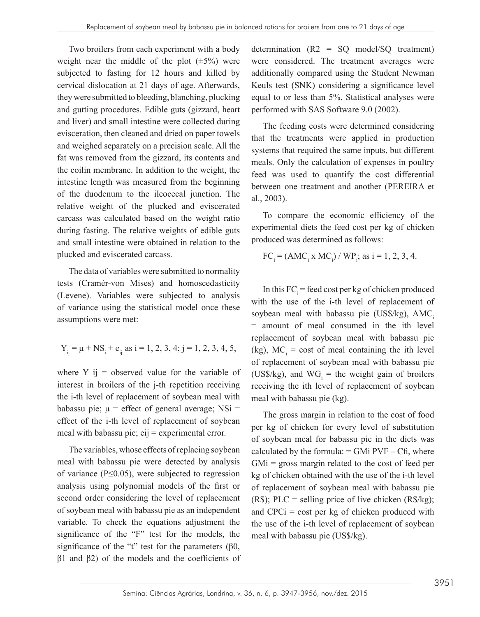Two broilers from each experiment with a body weight near the middle of the plot  $(\pm 5\%)$  were subjected to fasting for 12 hours and killed by cervical dislocation at 21 days of age. Afterwards, they were submitted to bleeding, blanching, plucking and gutting procedures. Edible guts (gizzard, heart and liver) and small intestine were collected during evisceration, then cleaned and dried on paper towels and weighed separately on a precision scale. All the fat was removed from the gizzard, its contents and the coilin membrane. In addition to the weight, the intestine length was measured from the beginning of the duodenum to the ileocecal junction. The relative weight of the plucked and eviscerated carcass was calculated based on the weight ratio during fasting. The relative weights of edible guts and small intestine were obtained in relation to the plucked and eviscerated carcass.

The data of variables were submitted to normality tests (Cramér-von Mises) and homoscedasticity (Levene). Variables were subjected to analysis of variance using the statistical model once these assumptions were met:

$$
Y_{ij} = \mu + NS_i + e_{ij} \text{, as } i = 1, 2, 3, 4; j = 1, 2, 3, 4, 5,
$$

where  $Y$  ij = observed value for the variable of interest in broilers of the j-th repetition receiving the i-th level of replacement of soybean meal with babassu pie;  $\mu$  = effect of general average; NSi = effect of the i-th level of replacement of soybean meal with babassu pie;  $eij =$  experimental error.

The variables, whose effects of replacing soybean meal with babassu pie were detected by analysis of variance ( $P \leq 0.05$ ), were subjected to regression analysis using polynomial models of the first or second order considering the level of replacement of soybean meal with babassu pie as an independent variable. To check the equations adjustment the significance of the "F" test for the models, the significance of the "t" test for the parameters ( $\beta$ 0,  $β1$  and  $β2$ ) of the models and the coefficients of determination (R2 = SQ model/SQ treatment) were considered. The treatment averages were additionally compared using the Student Newman Keuls test (SNK) considering a significance level equal to or less than 5%. Statistical analyses were performed with SAS Software 9.0 (2002).

The feeding costs were determined considering that the treatments were applied in production systems that required the same inputs, but different meals. Only the calculation of expenses in poultry feed was used to quantify the cost differential between one treatment and another (PEREIRA et al., 2003).

To compare the economic efficiency of the experimental diets the feed cost per kg of chicken produced was determined as follows:

$$
FCi = (AMCi x MCi) / WPi; as i = 1, 2, 3, 4.
$$

In this  $FC_i$  = feed cost per kg of chicken produced with the use of the i-th level of replacement of soybean meal with babassu pie (US\$/kg),  $AMC<sub>i</sub>$ = amount of meal consumed in the ith level replacement of soybean meal with babassu pie (kg),  $MC<sub>i</sub> = cost of meal containing the ith level$ of replacement of soybean meal with babassu pie (US\$/kg), and  $WG_i$  = the weight gain of broilers receiving the ith level of replacement of soybean meal with babassu pie (kg).

The gross margin in relation to the cost of food per kg of chicken for every level of substitution of soybean meal for babassu pie in the diets was calculated by the formula:  $=$  GMi PVF  $-$  Cfi, where  $GMi$  = gross margin related to the cost of feed per kg of chicken obtained with the use of the i-th level of replacement of soybean meal with babassu pie  $(R\$ ); PLC = selling price of live chicken  $(R\$ {kg}); and  $CPCi = \text{cost}$  per kg of chicken produced with the use of the i-th level of replacement of soybean meal with babassu pie (US\$/kg).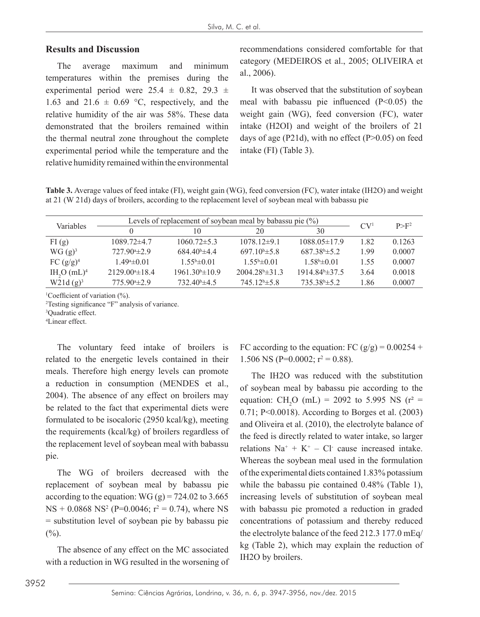### **Results and Discussion**

The average maximum and minimum temperatures within the premises during the experimental period were  $25.4 \pm 0.82$ ,  $29.3 \pm 1$ 1.63 and 21.6  $\pm$  0.69 °C, respectively, and the relative humidity of the air was 58%. These data demonstrated that the broilers remained within the thermal neutral zone throughout the complete experimental period while the temperature and the relative humidity remained within the environmental recommendations considered comfortable for that category (MEDEIROS et al., 2005; OLIVEIRA et al., 2006).

It was observed that the substitution of soybean meal with babassu pie influenced (P<0.05) the weight gain (WG), feed conversion (FC), water intake (H2OI) and weight of the broilers of 21 days of age (P21d), with no effect (P $>0.05$ ) on feed intake (FI) (Table 3).

**Table 3.** Average values of feed intake (FI), weight gain (WG), feed conversion (FC), water intake (IH2O) and weight at 21 (W 21d) days of broilers, according to the replacement level of soybean meal with babassu pie

| Variables          |                         | Levels of replacement of soybean meal by babassu pie $(\%)$ |                            |                            |             |         |
|--------------------|-------------------------|-------------------------------------------------------------|----------------------------|----------------------------|-------------|---------|
|                    |                         | 10                                                          | 20                         | 30                         | $\rm{CV}^1$ | $P>F^2$ |
| FI(g)              | $1089.72\pm4.7$         | $1060.72 \pm 5.3$                                           | $1078.12\pm9.1$            | $1088.05\pm17.9$           | 1.82        | 0.1263  |
| WG(g) <sup>3</sup> | $727.90*+2.9$           | $684\;40\text{b}$ $\pm 4\;4$                                | $697.10^{b} \pm 5.8$       | $687.38^{\circ}$ $\pm$ 5.2 | 1.99        | 0.0007  |
| FC $(g/g)^4$       | $1.49^{\circ} \pm 0.01$ | $1.55^{\rm b} \pm 0.01$                                     | $1.55^{\circ} \pm 0.01$    | $1.58^{\rm b} \pm 0.01$    | 1.55        | 0.0007  |
| $IH_{2}O(mL)^{4}$  | $2129.00* \pm 18.4$     | $1961.30^{\circ}$ ± 10.9                                    | $2004.28^{\circ} \pm 31.3$ | $1914.84^{\circ}$ ± 37.5   | 3.64        | 0.0018  |
| $W21d (g)^3$       | $775.90*2.9$            | $732.40^{\circ}$ ±4.5                                       | $745.12^b \pm 5.8$         | $735.38^{\circ}$ ± 5.2     | 1.86        | 0.0007  |

<sup>1</sup>Coefficient of variation (%).

2 Testing significance "F" analysis of variance.

3 Quadratic effect.

4 Linear effect.

The voluntary feed intake of broilers is related to the energetic levels contained in their meals. Therefore high energy levels can promote a reduction in consumption (MENDES et al., 2004). The absence of any effect on broilers may be related to the fact that experimental diets were formulated to be isocaloric (2950 kcal/kg), meeting the requirements (kcal/kg) of broilers regardless of the replacement level of soybean meal with babassu pie.

The WG of broilers decreased with the replacement of soybean meal by babassu pie according to the equation: WG  $(g) = 724.02$  to 3.665  $NS + 0.0868$   $NS^2$  (P=0.0046;  $r^2 = 0.74$ ), where NS = substitution level of soybean pie by babassu pie  $(\%).$ 

The absence of any effect on the MC associated with a reduction in WG resulted in the worsening of FC according to the equation: FC  $(g/g) = 0.00254 +$ 1.506 NS (P=0.0002;  $r^2 = 0.88$ ).

The IH2O was reduced with the substitution of soybean meal by babassu pie according to the equation:  $CH_2O$  (mL) = 2092 to 5.995 NS (r<sup>2</sup> = 0.71; P<0.0018). According to Borges et al. (2003) and Oliveira et al. (2010), the electrolyte balance of the feed is directly related to water intake, so larger relations  $Na^+ + K^+ - Cl^-$  cause increased intake. Whereas the soybean meal used in the formulation of the experimental diets contained 1.83% potassium while the babassu pie contained 0.48% (Table 1), increasing levels of substitution of soybean meal with babassu pie promoted a reduction in graded concentrations of potassium and thereby reduced the electrolyte balance of the feed 212.3 177.0 mEq/ kg (Table 2), which may explain the reduction of IH2O by broilers.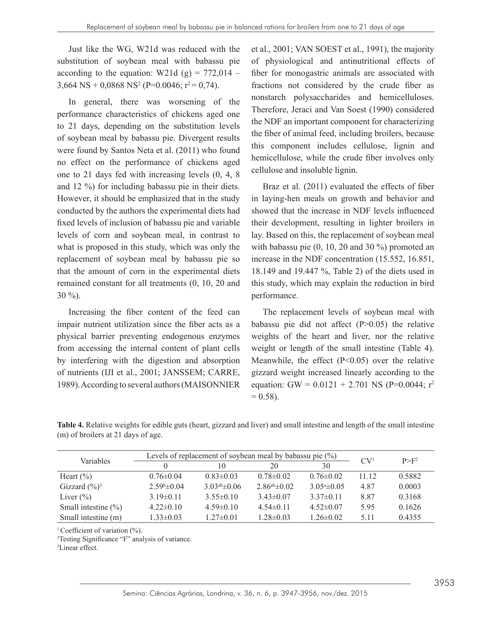Just like the WG, W21d was reduced with the substitution of soybean meal with babassu pie according to the equation: W21d  $(g) = 772.014$  –  $3,664$  NS +  $0,0868$  NS<sup>2</sup> (P= $0.0046$ ; r<sup>2</sup> = 0,74).

In general, there was worsening of the performance characteristics of chickens aged one to 21 days, depending on the substitution levels of soybean meal by babassu pie. Divergent results were found by Santos Neta et al. (2011) who found no effect on the performance of chickens aged one to 21 days fed with increasing levels (0, 4, 8 and 12 %) for including babassu pie in their diets. However, it should be emphasized that in the study conducted by the authors the experimental diets had fixed levels of inclusion of babassu pie and variable levels of corn and soybean meal, in contrast to what is proposed in this study, which was only the replacement of soybean meal by babassu pie so that the amount of corn in the experimental diets remained constant for all treatments (0, 10, 20 and 30 %).

Increasing the fiber content of the feed can impair nutrient utilization since the fiber acts as a physical barrier preventing endogenous enzymes from accessing the internal content of plant cells by interfering with the digestion and absorption of nutrients (IJI et al., 2001; JANSSEM; CARRE, 1989). According to several authors (MAISONNIER et al., 2001; VAN SOEST et al., 1991), the majority of physiological and antinutritional effects of fiber for monogastric animals are associated with fractions not considered by the crude fiber as nonstarch polysaccharides and hemicelluloses. Therefore, Jeraci and Van Soest (1990) considered the NDF an important component for characterizing the fiber of animal feed, including broilers, because this component includes cellulose, lignin and hemicellulose, while the crude fiber involves only cellulose and insoluble lignin.

Braz et al. (2011) evaluated the effects of fiber in laying-hen meals on growth and behavior and showed that the increase in NDF levels influenced their development, resulting in lighter broilers in lay. Based on this, the replacement of soybean meal with babassu pie (0, 10, 20 and 30 %) promoted an increase in the NDF concentration (15.552, 16.851, 18.149 and 19.447 %, Table 2) of the diets used in this study, which may explain the reduction in bird performance.

The replacement levels of soybean meal with babassu pie did not affect (P>0.05) the relative weights of the heart and liver, nor the relative weight or length of the small intestine (Table 4). Meanwhile, the effect (P<0.05) over the relative gizzard weight increased linearly according to the equation: GW =  $0.0121 + 2.701$  NS (P=0.0044; r<sup>2</sup>  $= 0.58$ .

| Variables                 | Levels of replacement of soybean meal by babassu pie $(\%)$ |                      |                      |                       | CV <sup>1</sup> | $P>F^2$ |
|---------------------------|-------------------------------------------------------------|----------------------|----------------------|-----------------------|-----------------|---------|
|                           |                                                             | 10                   | 20                   | 30                    |                 |         |
| Heart $(\% )$             | $0.76 \pm 0.04$                                             | $0.83 \pm 0.03$      | $0.78 \pm 0.02$      | $0.76 \pm 0.02$       | 11.12           | 0.5882  |
| Gizzard $(\frac{9}{6})^3$ | $2.59b\pm 0.04$                                             | $3.03^{ab} \pm 0.06$ | $2.86^{ab} \pm 0.02$ | $3.05^{\circ}$ ± 0.05 | 4.87            | 0.0003  |
| Liver $(\% )$             | $3.19\pm0.11$                                               | $3.55\pm0.10$        | $3.43\pm0.07$        | $3.37\pm0.11$         | 8.87            | 0.3168  |
| Small intestine $(\% )$   | $4.22\pm0.10$                                               | $4.59\pm0.10$        | $4.54\pm0.11$        | $4.52\pm0.07$         | 5.95            | 0.1626  |
| Small intestine (m)       | $1.33 \pm 0.03$                                             | $1.27\pm0.01$        | $1.28 \pm 0.03$      | $1.26 \pm 0.02$       | 5.11            | 0.4355  |

**Table 4.** Relative weights for edible guts (heart, gizzard and liver) and small intestine and length of the small intestine (m) of broilers at 21 days of age.

<sup>1</sup> Coefficient of variation  $(\% )$ .

2 Testing Significance "F" analysis of variance.

3 Linear effect.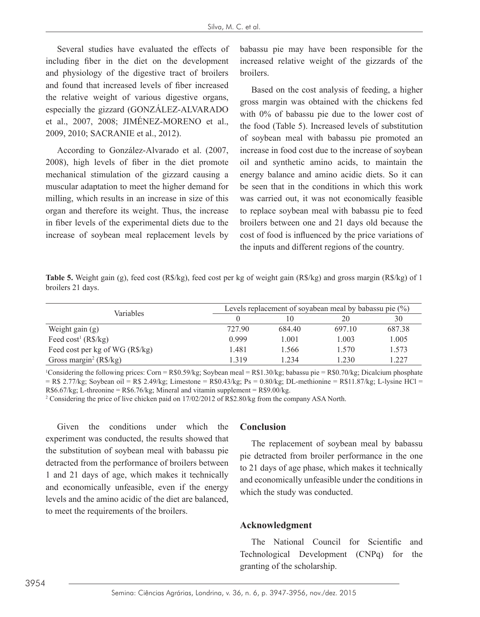Several studies have evaluated the effects of including fiber in the diet on the development and physiology of the digestive tract of broilers and found that increased levels of fiber increased the relative weight of various digestive organs, especially the gizzard (GONZÁLEZ-ALVARADO et al., 2007, 2008; JIMÉNEZ-MORENO et al., 2009, 2010; SACRANIE et al., 2012).

According to González-Alvarado et al. (2007, 2008), high levels of fiber in the diet promote mechanical stimulation of the gizzard causing a muscular adaptation to meet the higher demand for milling, which results in an increase in size of this organ and therefore its weight. Thus, the increase in fiber levels of the experimental diets due to the increase of soybean meal replacement levels by

babassu pie may have been responsible for the increased relative weight of the gizzards of the broilers.

Based on the cost analysis of feeding, a higher gross margin was obtained with the chickens fed with 0% of babassu pie due to the lower cost of the food (Table 5). Increased levels of substitution of soybean meal with babassu pie promoted an increase in food cost due to the increase of soybean oil and synthetic amino acids, to maintain the energy balance and amino acidic diets. So it can be seen that in the conditions in which this work was carried out, it was not economically feasible to replace soybean meal with babassu pie to feed broilers between one and 21 days old because the cost of food is influenced by the price variations of the inputs and different regions of the country.

**Table 5.** Weight gain (g), feed cost (R\$/kg), feed cost per kg of weight gain (R\$/kg) and gross margin (R\$/kg) of 1 broilers 21 days.

| <b>Variables</b>                       | Levels replacement of soyabean meal by babassu pie $(\%)$ |        |        |        |  |
|----------------------------------------|-----------------------------------------------------------|--------|--------|--------|--|
|                                        |                                                           |        | 20     | 30     |  |
| Weight gain $(g)$                      | 727.90                                                    | 684.40 | 697.10 | 687.38 |  |
| Feed cost <sup>1</sup> ( $R\$ /kg)     | 0.999                                                     | 1.001  | 1.003  | 1.005  |  |
| Feed cost per kg of WG (R\$/kg)        | 1.481                                                     | 1.566  | 1.570  | 1.573  |  |
| Gross margin <sup>2</sup> ( $R\$/kg$ ) | 1319                                                      | 1 234  | .230   | .227   |  |

Considering the following prices: Corn = R\$0.59/kg; Soybean meal = R\$1.30/kg; babassu pie = R\$0.70/kg; Dicalcium phosphate  $=$  R\$ 2.77/kg; Soybean oil  $=$  R\$ 2.49/kg; Limestone  $=$  R\$0.43/kg; Ps  $=$  0.80/kg; DL-methionine  $=$  R\$11.87/kg; L-lysine HCl  $=$  $R$6.67/kg$ ; L-threonine =  $R$6.76/kg$ ; Mineral and vitamin supplement =  $R$9.00/kg$ .

2 Considering the price of live chicken paid on 17/02/2012 of R\$2.80/kg from the company ASA North.

Given the conditions under which the experiment was conducted, the results showed that the substitution of soybean meal with babassu pie detracted from the performance of broilers between 1 and 21 days of age, which makes it technically and economically unfeasible, even if the energy levels and the amino acidic of the diet are balanced, to meet the requirements of the broilers.

#### **Conclusion**

The replacement of soybean meal by babassu pie detracted from broiler performance in the one to 21 days of age phase, which makes it technically and economically unfeasible under the conditions in which the study was conducted.

#### **Acknowledgment**

The National Council for Scientific and Technological Development (CNPq) for the granting of the scholarship.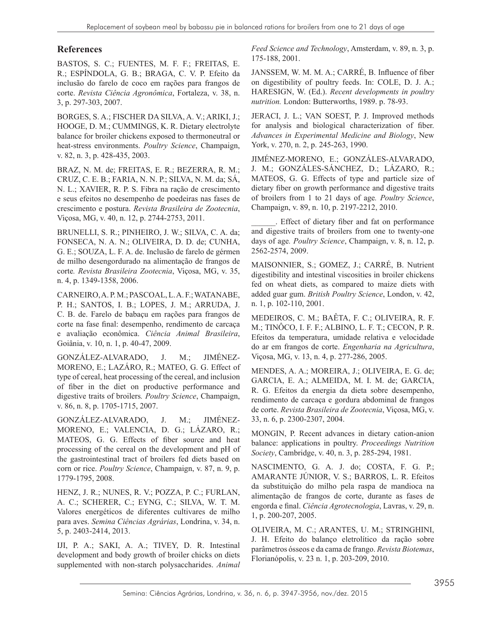#### **References**

BASTOS, S. C.; FUENTES, M. F. F.; FREITAS, E. R.; ESPÍNDOLA, G. B.; BRAGA, C. V. P. Efeito da inclusão do farelo de coco em rações para frangos de corte. *Revista Ciência Agronômica*, Fortaleza, v. 38, n. 3, p. 297-303, 2007.

BORGES, S. A.; FISCHER DA SILVA, A. V.; ARIKI, J.; HOOGE, D. M.; CUMMINGS, K. R. Dietary electrolyte balance for broiler chickens exposed to thermoneutral or heat-stress environments. *Poultry Science*, Champaign, v. 82, n. 3, p. 428-435, 2003.

BRAZ, N. M. de; FREITAS, E. R.; BEZERRA, R. M.; CRUZ, C. E. B.; FARIA, N. N. P.; SILVA, N. M. da; SÁ, N. L.; XAVIER, R. P. S. Fibra na ração de crescimento e seus efeitos no desempenho de poedeiras nas fases de crescimento e postura. *Revista Brasileira de Zootecnia*, Viçosa, MG, v. 40, n. 12, p. 2744-2753, 2011.

BRUNELLI, S. R.; PINHEIRO, J. W.; SILVA, C. A. da; FONSECA, N. A. N.; OLIVEIRA, D. D. de; CUNHA, G. E.; SOUZA, L. F. A. de. Inclusão de farelo de gérmen de milho desengordurado na alimentação de frangos de corte*. Revista Brasileira Zootecnia*, Viçosa, MG, v. 35, n. 4, p. 1349-1358, 2006.

CARNEIRO, A. P. M.; PASCOAL, L. A. F.; WATANABE, P. H.; SANTOS, I. B.; LOPES, J. M.; ARRUDA, J. C. B. de. Farelo de babaçu em rações para frangos de corte na fase final: desempenho, rendimento de carcaça e avaliação econômica. *Ciência Animal Brasileira*, Goiânia, v. 10, n. 1, p. 40-47, 2009.

GONZÁLEZ-ALVARADO, J. M.; JIMÉNEZ-MORENO, E.; LAZÁRO, R.; MATEO, G. G. Effect of type of cereal, heat processing of the cereal, and inclusion of fiber in the diet on productive performance and digestive traits of broilers*. Poultry Science*, Champaign, v. 86, n. 8, p. 1705-1715, 2007.

GONZÁLEZ-ALVARADO, J. M.; JIMÉNEZ-MORENO, E.; VALENCIA, D. G.; LÁZARO, R.; MATEOS, G. G. Effects of fiber source and heat processing of the cereal on the development and pH of the gastrointestinal tract of broilers fed diets based on corn or rice. *Poultry Science*, Champaign, v. 87, n. 9, p. 1779-1795, 2008.

HENZ, J. R.; NUNES, R. V.; POZZA, P. C.; FURLAN, A. C.; SCHERER, C.; EYNG, C.; SILVA, W. T. M. Valores energéticos de diferentes cultivares de milho para aves. *Semina Ciências Agrárias*, Londrina, v. 34, n. 5, p. 2403-2414, 2013.

IJI, P. A.; SAKI, A. A.; TIVEY, D. R. Intestinal development and body growth of broiler chicks on diets supplemented with non-starch polysaccharides. *Animal*  *Feed Science and Technology*, Amsterdam, v. 89, n. 3, p. 175-188, 2001.

JANSSEM, W. M. M. A.; CARRÉ, B. Influence of fiber on digestibility of poultry feeds. In: COLE, D. J. A.; HARESIGN, W. (Ed.). *Recent developments in poultry nutrition.* London: Butterworths, 1989. p. 78-93.

JERACI, J. L.; VAN SOEST, P. J. Improved methods for analysis and biological characterization of fiber. *Advances in Experimental Medicine and Biology*, New York, v. 270, n. 2, p. 245-263, 1990.

JIMÉNEZ-MORENO, E.; GONZÁLES-ALVARADO, J. M.; GONZÁLES-SÁNCHEZ, D.; LÁZARO, R.; MATEOS, G. G. Effects of type and particle size of dietary fiber on growth performance and digestive traits of broilers from 1 to 21 days of age*. Poultry Science*, Champaign, v. 89, n. 10, p. 2197-2212, 2010.

\_\_\_\_\_\_. Effect of dietary fiber and fat on performance and digestive traits of broilers from one to twenty-one days of age*. Poultry Science*, Champaign, v. 8, n. 12, p. 2562-2574, 2009.

MAISONNIER, S.; GOMEZ, J.; CARRÉ, B. Nutrient digestibility and intestinal viscosities in broiler chickens fed on wheat diets, as compared to maize diets with added guar gum. *British Poultry Science*, London, v. 42, n. 1, p. 102-110, 2001.

MEDEIROS, C. M.; BAÊTA, F. C.; OLIVEIRA, R. F. M.; TINÔCO, I. F. F.; ALBINO, L. F. T.; CECON, P. R. Efeitos da temperatura, umidade relativa e velocidade do ar em frangos de corte. *Engenharia na Agricultura*, Viçosa, MG, v. 13, n. 4, p. 277-286, 2005.

MENDES, A. A.; MOREIRA, J.; OLIVEIRA, E. G. de; GARCIA, E. A.; ALMEIDA, M. I. M. de; GARCIA, R. G. Efeitos da energia da dieta sobre desempenho, rendimento de carcaça e gordura abdominal de frangos de corte. *Revista Brasileira de Zootecnia*, Viçosa, MG, v. 33, n. 6, p. 2300-2307, 2004.

MONGIN, P. Recent advances in dietary cation-anion balance: applications in poultry. *Proceedings Nutrition Society*, Cambridge, v. 40, n. 3, p. 285-294, 1981.

NASCIMENTO, G. A. J. do; COSTA, F. G. P.; AMARANTE JÚNIOR, V. S.; BARROS, L. R. Efeitos da substituição do milho pela raspa de mandioca na alimentação de frangos de corte, durante as fases de engorda e final. *Ciência Agrotecnologia*, Lavras, v. 29, n. 1, p. 200-207, 2005.

OLIVEIRA, M. C.; ARANTES, U. M.; STRINGHINI, J. H. Efeito do balanço eletrolítico da ração sobre parâmetros ósseos e da cama de frango. *Revista Biotemas*, Florianópolis, v. 23 n. 1, p. 203-209, 2010.